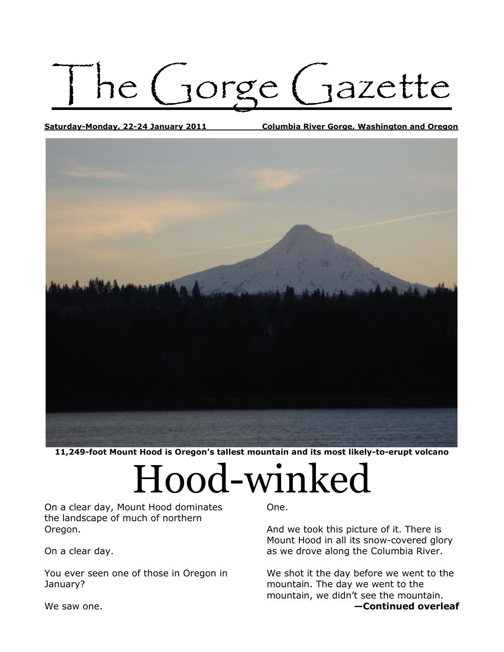ne (Jorge (Jazette

**Saturday-Monday, 22-24 January 2011 Columbia River Gorge, Washington and Oregon**



**11,249-foot Mount Hood is Oregon's tallest mountain and its most likely-to-erupt volcano**

## Hood-winked

On a clear day, Mount Hood dominates the landscape of much of northern Oregon.

On a clear day.

You ever seen one of those in Oregon in January?

One.

And we took this picture of it. There is Mount Hood in all its snow-covered glory as we drove along the Columbia River.

We shot it the day before we went to the mountain. The day we went to the mountain, we didn't see the mountain. **—Continued overleaf**

We saw one.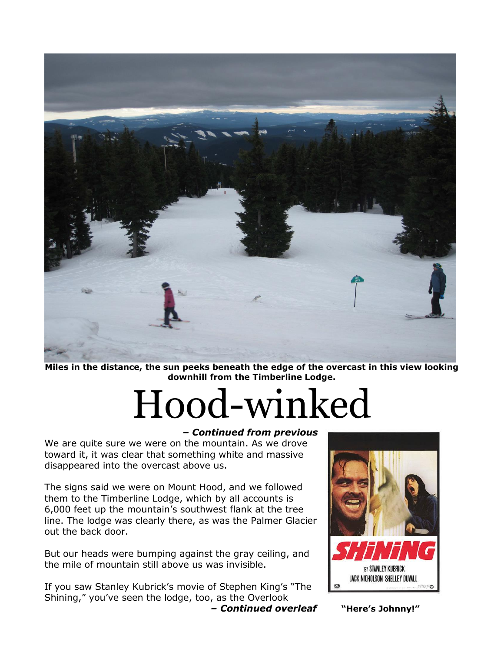

**Miles in the distance, the sun peeks beneath the edge of the overcast in this view looking downhill from the Timberline Lodge.**

# Hood-winked

#### *– Continued from previous*

We are quite sure we were on the mountain. As we drove toward it, it was clear that something white and massive disappeared into the overcast above us.

The signs said we were on Mount Hood, and we followed them to the Timberline Lodge, which by all accounts is 6,000 feet up the mountain's southwest flank at the tree line. The lodge was clearly there, as was the Palmer Glacier out the back door.

But our heads were bumping against the gray ceiling, and the mile of mountain still above us was invisible.

If you saw Stanley Kubrick's movie of Stephen King's "The Shining," you've seen the lodge, too, as the Overlook



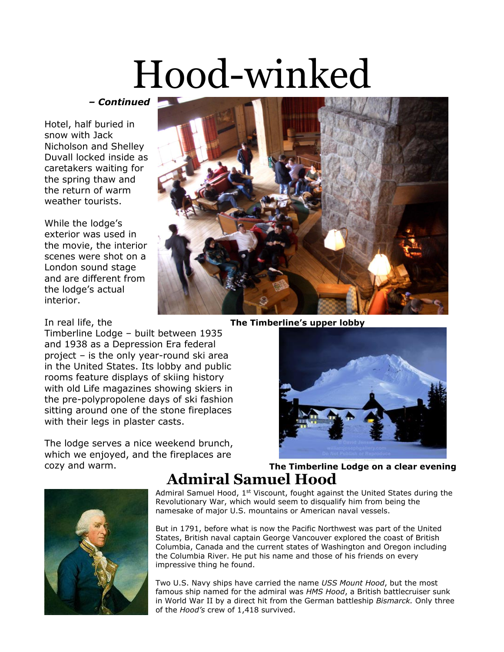## Hood-winked

*– Continued*

Hotel, half buried in snow with Jack Nicholson and Shelley Duvall locked inside as caretakers waiting for the spring thaw and the return of warm weather tourists.

While the lodge's exterior was used in the movie, the interior scenes were shot on a London sound stage and are different from the lodge's actual interior.

Timberline Lodge – built between 1935 and 1938 as a Depression Era federal project – is the only year-round ski area in the United States. Its lobby and public rooms feature displays of skiing history with old Life magazines showing skiers in the pre-polypropolene days of ski fashion sitting around one of the stone fireplaces with their legs in plaster casts.

The lodge serves a nice weekend brunch, which we enjoyed, and the fireplaces are



In real life, the **The Timberline's upper lobby**





#### cozy and warm. **The Timberline Lodge on a clear evening Admiral Samuel Hood**

Admiral Samuel Hood,  $1<sup>st</sup>$  Viscount, fought against the United States during the Revolutionary War, which would seem to disqualify him from being the namesake of major U.S. mountains or American naval vessels.

But in 1791, before what is now the Pacific Northwest was part of the United States, British naval captain George Vancouver explored the coast of British Columbia, Canada and the current states of Washington and Oregon including the Columbia River. He put his name and those of his friends on every impressive thing he found.

Two U.S. Navy ships have carried the name *USS Mount Hood*, but the most famous ship named for the admiral was *HMS Hood*, a British battlecruiser sunk in World War II by a direct hit from the German battleship *Bismarck.* Only three of the *Hood's* crew of 1,418 survived.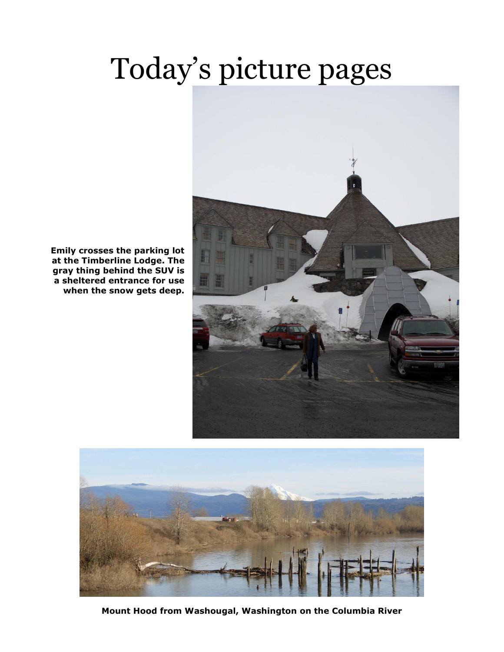### Today's picture pages



**Emily crosses the parking lot at the Timberline Lodge. The gray thing behind the SUV is a sheltered entrance for use when the snow gets deep.**



**Mount Hood from Washougal, Washington on the Columbia River**